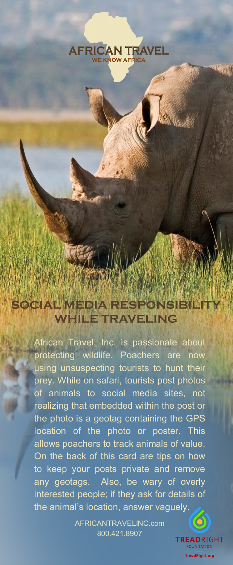

SOCIAL MEDIA RESPONSIBIL **IILE TRAVELING** 

> African Travel, Inc. is passionate about protecting wildlife. Poachers are now using unsuspecting tourists to hunt their prey. While on safari, tourists post photos of animals to social media sites, not realizing that embedded within the post or the photo is a geotag containing the GPS location of the photo or poster. This allows poachers to track animals of value. On the back of this card are tips on how to keep your posts private and remove any geotags. Also, be wary of overly interested people; if they ask for details of the animal's location, answer vaguely.

> > AFRICANTRAVELINC.com 800.421.8907